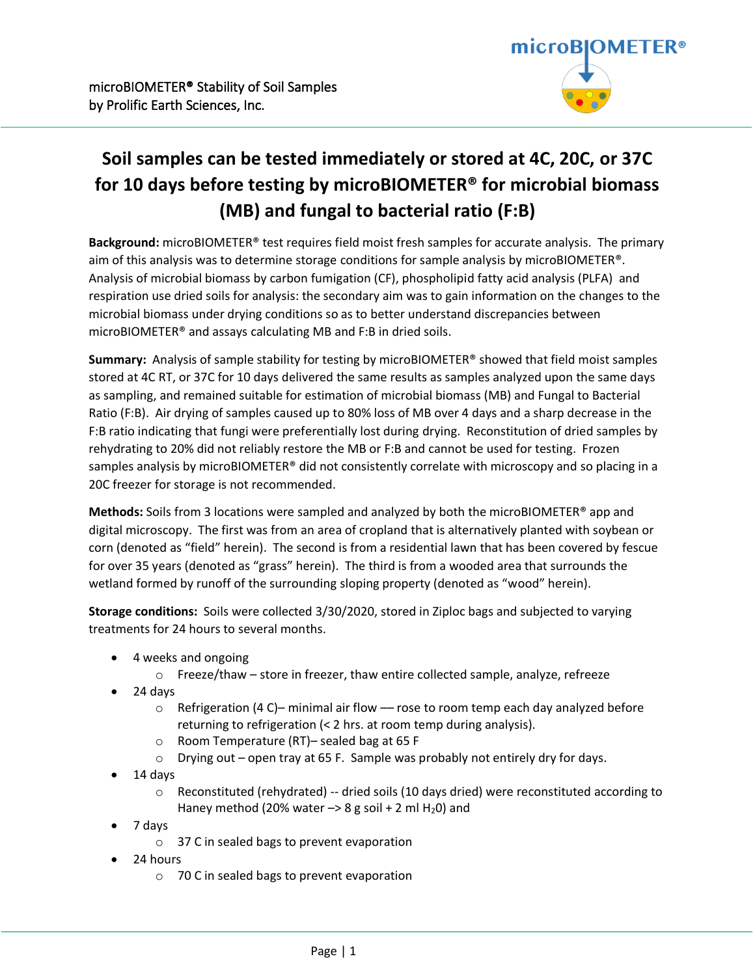

# **Soil samples can be tested immediately or stored at 4C, 20C, or 37C for 10 days before testing by microBIOMETER® for microbial biomass (MB) and fungal to bacterial ratio (F:B)**

**Background:** microBIOMETER® test requires field moist fresh samples for accurate analysis. The primary aim of this analysis was to determine storage conditions for sample analysis by microBIOMETER®. Analysis of microbial biomass by carbon fumigation (CF), phospholipid fatty acid analysis (PLFA) and respiration use dried soils for analysis: the secondary aim was to gain information on the changes to the microbial biomass under drying conditions so as to better understand discrepancies between microBIOMETER® and assays calculating MB and F:B in dried soils.

**Summary:** Analysis of sample stability for testing by microBIOMETER® showed that field moist samples stored at 4C RT, or 37C for 10 days delivered the same results as samples analyzed upon the same days as sampling, and remained suitable for estimation of microbial biomass (MB) and Fungal to Bacterial Ratio (F:B). Air drying of samples caused up to 80% loss of MB over 4 days and a sharp decrease in the F:B ratio indicating that fungi were preferentially lost during drying. Reconstitution of dried samples by rehydrating to 20% did not reliably restore the MB or F:B and cannot be used for testing. Frozen samples analysis by microBIOMETER® did not consistently correlate with microscopy and so placing in a 20C freezer for storage is not recommended.

**Methods:** Soils from 3 locations were sampled and analyzed by both the microBIOMETER® app and digital microscopy. The first was from an area of cropland that is alternatively planted with soybean or corn (denoted as "field" herein). The second is from a residential lawn that has been covered by fescue for over 35 years (denoted as "grass" herein). The third is from a wooded area that surrounds the wetland formed by runoff of the surrounding sloping property (denoted as "wood" herein).

**Storage conditions:** Soils were collected 3/30/2020, stored in Ziploc bags and subjected to varying treatments for 24 hours to several months.

- 4 weeks and ongoing
	- o Freeze/thaw store in freezer, thaw entire collected sample, analyze, refreeze
- 24 days
	- $\circ$  Refrigeration (4 C)– minimal air flow rose to room temp each day analyzed before returning to refrigeration (< 2 hrs. at room temp during analysis).
	- o Room Temperature (RT)– sealed bag at 65 F
	- $\circ$  Drying out open tray at 65 F. Sample was probably not entirely dry for days.
- 14 days
	- $\circ$  Reconstituted (rehydrated) -- dried soils (10 days dried) were reconstituted according to Haney method (20% water  $\rightarrow$  8 g soil + 2 ml H<sub>2</sub>0) and
- 7 days
	- o 37 C in sealed bags to prevent evaporation
- 24 hours
	- o 70 C in sealed bags to prevent evaporation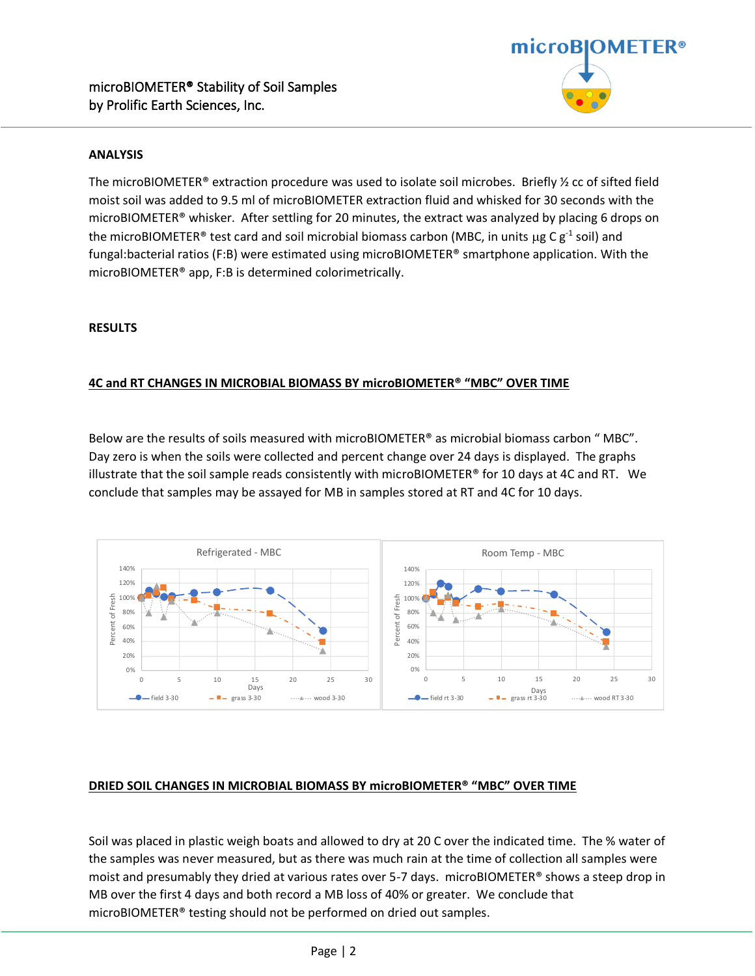

#### **ANALYSIS**

The microBIOMETER® extraction procedure was used to isolate soil microbes. Briefly ½ cc of sifted field moist soil was added to 9.5 ml of microBIOMETER extraction fluid and whisked for 30 seconds with the microBIOMETER® whisker. After settling for 20 minutes, the extract was analyzed by placing 6 drops on the microBIOMETER® test card and soil microbial biomass carbon (MBC, in units  $\mu$ g C g<sup>-1</sup> soil) and fungal:bacterial ratios (F:B) were estimated using microBIOMETER® smartphone application. With the microBIOMETER® app, F:B is determined colorimetrically.

#### **RESULTS**

### **4C and RT CHANGES IN MICROBIAL BIOMASS BY microBIOMETER® "MBC" OVER TIME**

Below are the results of soils measured with microBIOMETER® as microbial biomass carbon " MBC". Day zero is when the soils were collected and percent change over 24 days is displayed. The graphs illustrate that the soil sample reads consistently with microBIOMETER® for 10 days at 4C and RT. We conclude that samples may be assayed for MB in samples stored at RT and 4C for 10 days.



## **DRIED SOIL CHANGES IN MICROBIAL BIOMASS BY microBIOMETER® "MBC" OVER TIME**

Soil was placed in plastic weigh boats and allowed to dry at 20 C over the indicated time. The % water of the samples was never measured, but as there was much rain at the time of collection all samples were moist and presumably they dried at various rates over 5-7 days. microBIOMETER® shows a steep drop in MB over the first 4 days and both record a MB loss of 40% or greater. We conclude that microBIOMETER® testing should not be performed on dried out samples.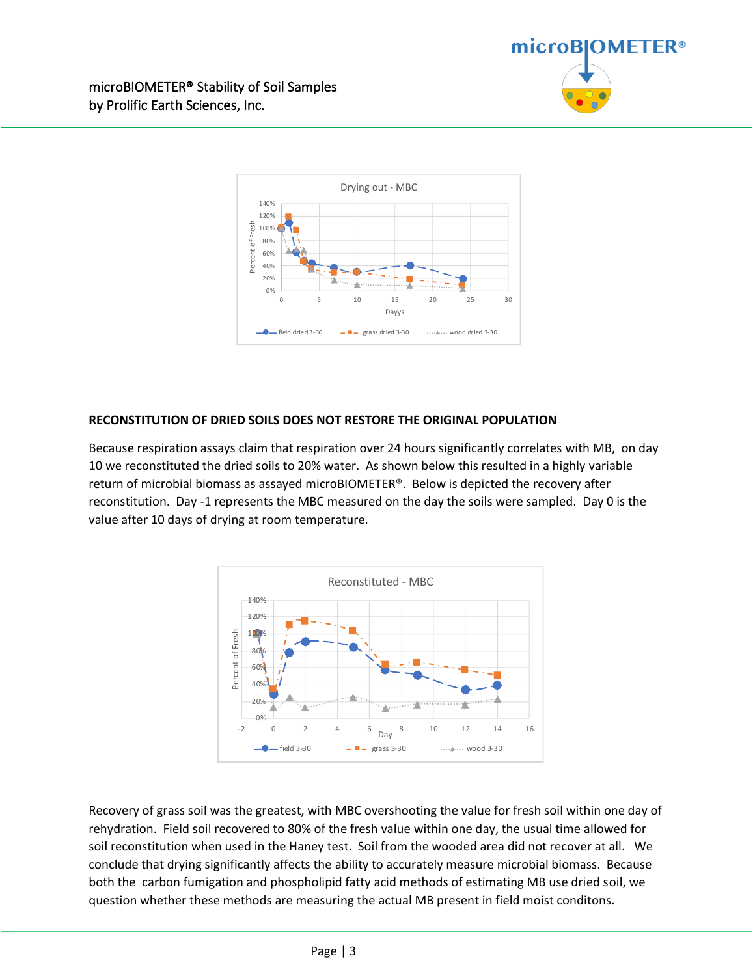



### **RECONSTITUTION OF DRIED SOILS DOES NOT RESTORE THE ORIGINAL POPULATION**

Because respiration assays claim that respiration over 24 hours significantly correlates with MB, on day 10 we reconstituted the dried soils to 20% water. As shown below this resulted in a highly variable return of microbial biomass as assayed microBIOMETER®. Below is depicted the recovery after reconstitution. Day -1 represents the MBC measured on the day the soils were sampled. Day 0 is the value after 10 days of drying at room temperature.



Recovery of grass soil was the greatest, with MBC overshooting the value for fresh soil within one day of rehydration. Field soil recovered to 80% of the fresh value within one day, the usual time allowed for soil reconstitution when used in the Haney test. Soil from the wooded area did not recover at all. We conclude that drying significantly affects the ability to accurately measure microbial biomass. Because both the carbon fumigation and phospholipid fatty acid methods of estimating MB use dried soil, we question whether these methods are measuring the actual MB present in field moist conditons.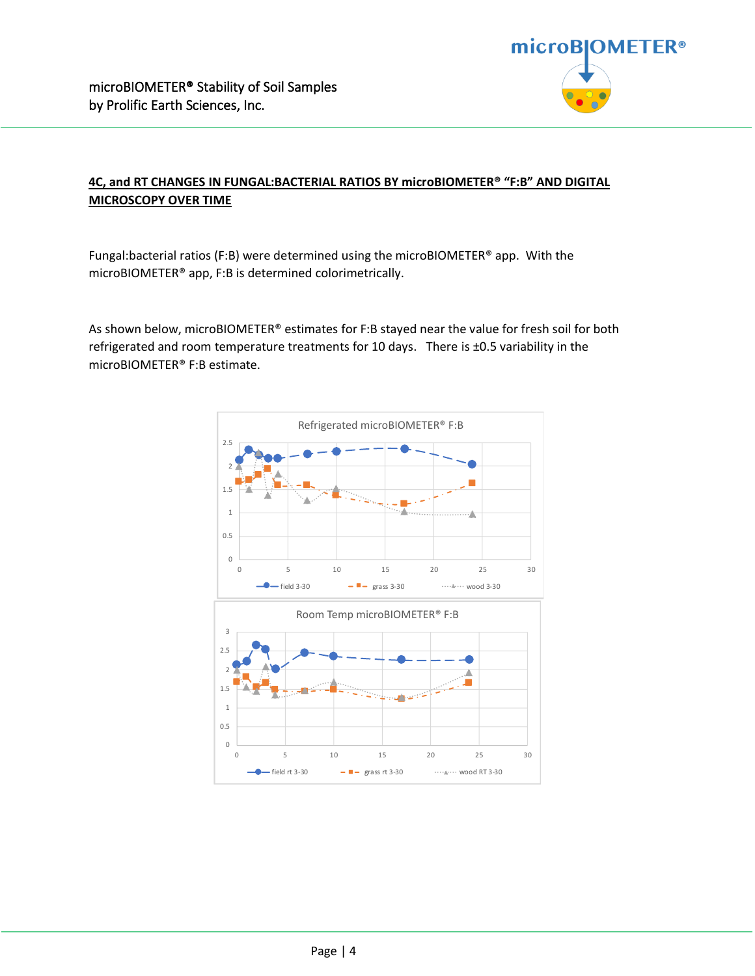

## **4C, and RT CHANGES IN FUNGAL:BACTERIAL RATIOS BY microBIOMETER® "F:B" AND DIGITAL MICROSCOPY OVER TIME**

Fungal:bacterial ratios (F:B) were determined using the microBIOMETER® app. With the microBIOMETER® app, F:B is determined colorimetrically.

As shown below, microBIOMETER® estimates for F:B stayed near the value for fresh soil for both refrigerated and room temperature treatments for 10 days. There is ±0.5 variability in the microBIOMETER® F:B estimate.

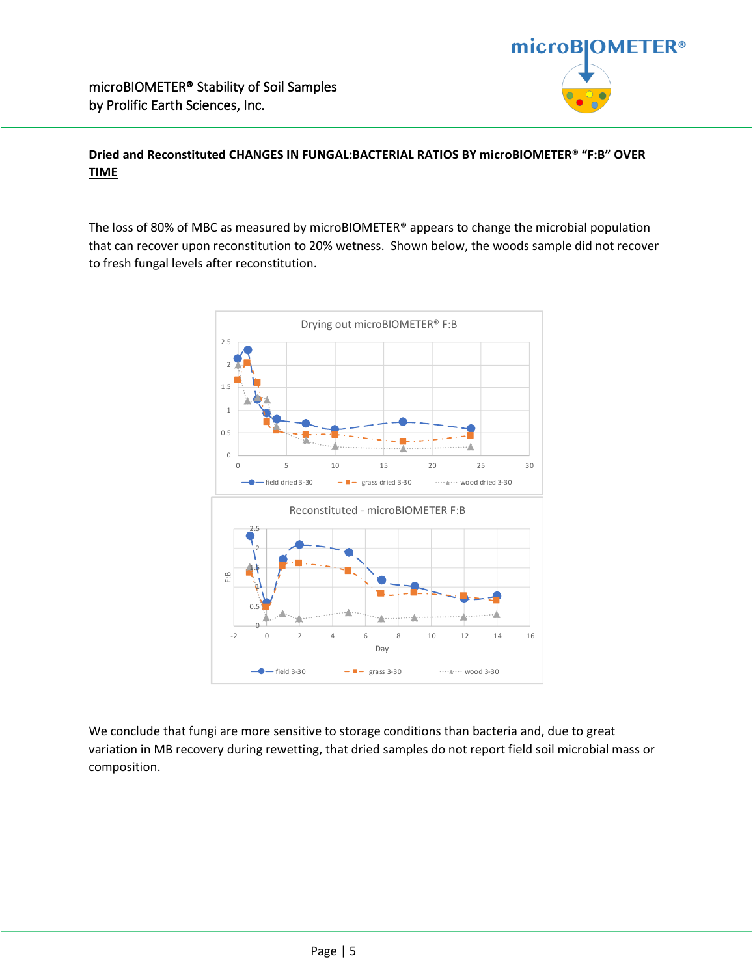## **Dried and Reconstituted CHANGES IN FUNGAL:BACTERIAL RATIOS BY microBIOMETER® "F:B" OVER TIME**

The loss of 80% of MBC as measured by microBIOMETER® appears to change the microbial population that can recover upon reconstitution to 20% wetness. Shown below, the woods sample did not recover to fresh fungal levels after reconstitution.



We conclude that fungi are more sensitive to storage conditions than bacteria and, due to great variation in MB recovery during rewetting, that dried samples do not report field soil microbial mass or composition.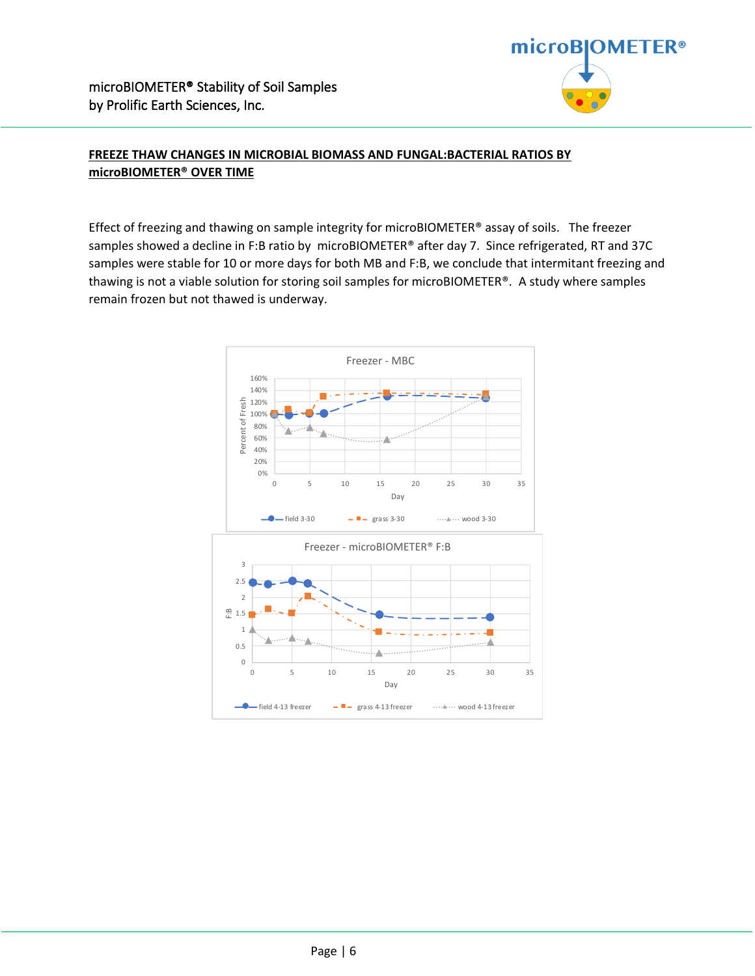

## **FREEZE THAW CHANGES IN MICROBIAL BIOMASS AND FUNGAL:BACTERIAL RATIOS BY microBIOMETER® OVER TIME**

Effect of freezing and thawing on sample integrity for microBIOMETER® assay of soils. The freezer samples showed a decline in F:B ratio by microBIOMETER® after day 7. Since refrigerated, RT and 37C samples were stable for 10 or more days for both MB and F:B, we conclude that intermitant freezing and thawing is not a viable solution for storing soil samples for microBIOMETER®. A study where samples remain frozen but not thawed is underway.